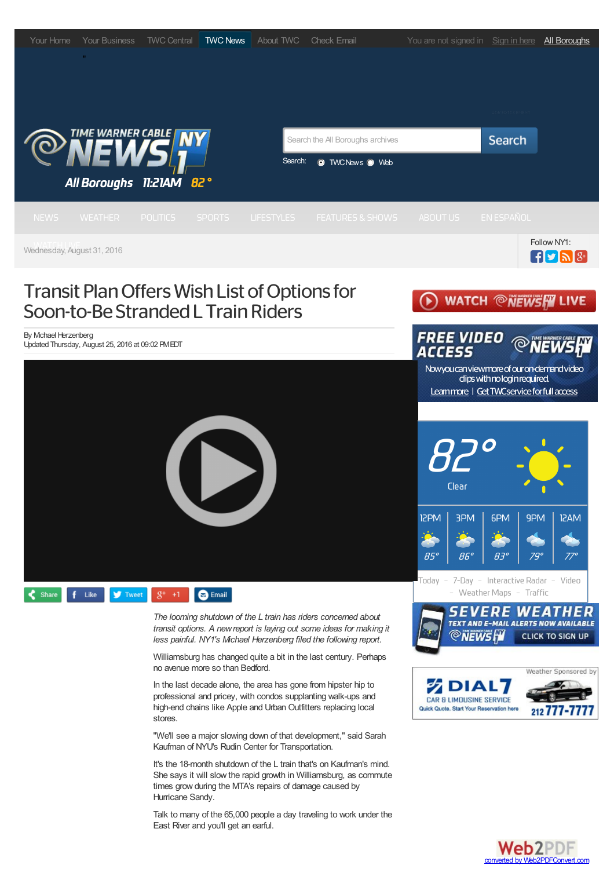

Web2PDF converted by Web2PDFConvert.com